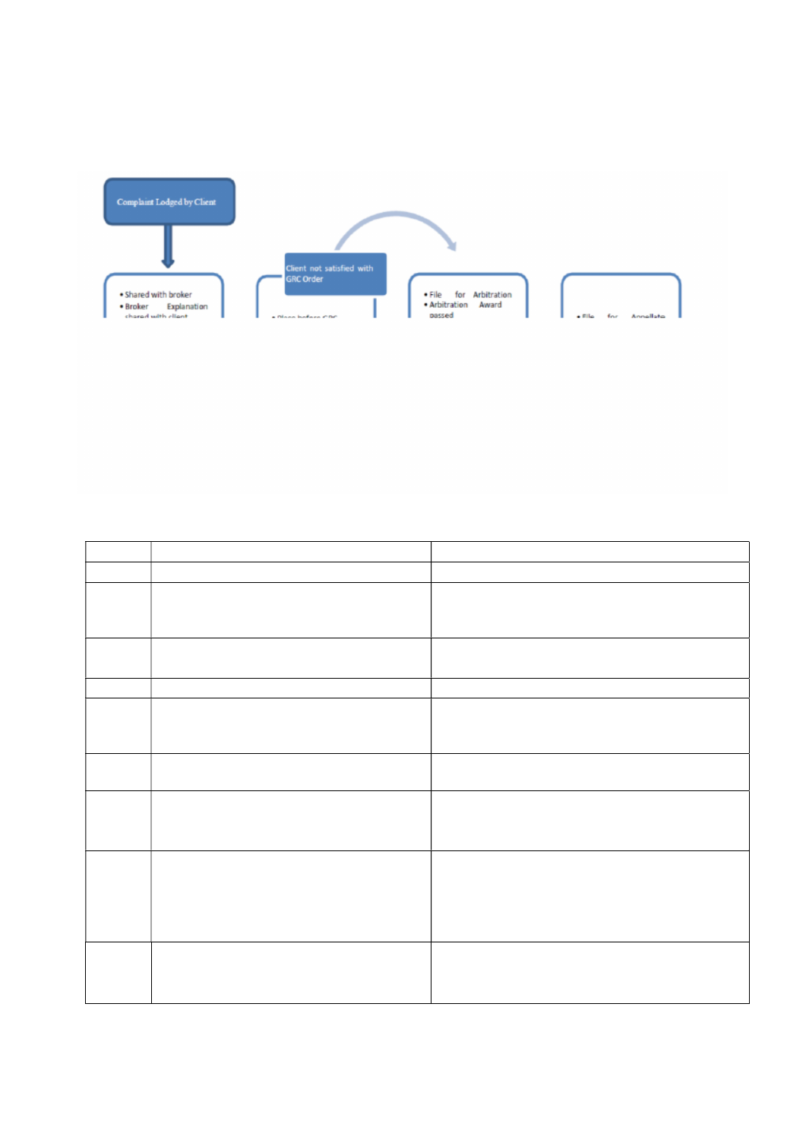|       |                                                                                                  | H] a Y ` ] b Y g ` Z c f ` Wc a d ` U ] b h ` f Y g c ` i h ] c b ` d f c WY g g ` U h ` G                                                                               |  |
|-------|--------------------------------------------------------------------------------------------------|--------------------------------------------------------------------------------------------------------------------------------------------------------------------------|--|
|       |                                                                                                  | $G''$ $Bc''$ $H \text{ md } Y$ $c$ $Z$ $5$ Wh $j$ $j$ $h$ $r$ $d$ $s$ $y$ $g$ $c$ $f$ $U$ $W$ $j$ $j$ $h$ $m$                                                            |  |
|       |                                                                                                  | %"   FYWY ] dh · c Z · 7 c a d · [L8] Ubrh · c Z · Wc a d · U ] b h · fl 7 ·   8 U mH                                                                                    |  |
|       |                                                                                                  | & " $\lceil 5 XX \rceil$ h $\rceil$ c b U ` ` $\rceil$ b Z c f a Uh $\rceil$ $\chi$ b+ g K d f[ $\searrow$ ]hb [Z f X U mgh " $\searrow$ Y                               |  |
|       |                                                                                                  | ] bj Yghcf ž <sup>-</sup> ] Z <sup>-</sup> Ubm $\zeta$ <sup>-</sup> UbX <sup>-</sup> df cj ] g] c bU <sup>-</sup> <sup>-</sup> m                                         |  |
|       | ZcfkUfXYX hc ghcW Vfc _ Yf "                                                                     |                                                                                                                                                                          |  |
|       |                                                                                                  | FY[] g h f U h ] c b c Z   Th2X, Y "KWcfa_d] `bU[] b8hU mlg b X " Y " H                                                                                                  |  |
|       | Z c f k U f X ] b [ $\cdot$ h c $\cdot$ h \ Y   g h c W_ $\cdot$ V f c _ Y f "                   |                                                                                                                                                                          |  |
|       |                                                                                                  | 5a] WUV`Y FYgc`ih   HtŽb%) Kcf _   b [ 8 Umg "                                                                                                                           |  |
|       |                                                                                                  | $\begin{bmatrix} F Y Z Y f & h c & f \end{bmatrix}$ $\begin{bmatrix} Y j \end{bmatrix}$ $\begin{bmatrix} H\check{\mathbf{Z}} WY & K\mathbf{F}Y XfYg gYUmg \end{bmatrix}$ |  |
|       | $7c$ a a ] h h Y Y $\cdot$ fl; F $7L\check{z}$ $\cdot$   b $\cdot$ WUg Y $\cdot$ c Z $\cdot$ b c |                                                                                                                                                                          |  |
|       | Ua] WUV`Y`f Ygc`i h] $\not\in$ b"                                                                |                                                                                                                                                                          |  |
| $*$ " |                                                                                                  | 7 c a d ` Y h Y ` f Y g c ` i h ]   H b Ž d f S c WK \c g f g \ ]   bd [c g & U mg "                                                                                     |  |
|       | $:$ F 7 $"$                                                                                      |                                                                                                                                                                          |  |
| $+$ " |                                                                                                  |                                                                                                                                                                          |  |
|       |                                                                                                  | f Yei ] f Yg 'UXX] h ] c b U ' ' ] b Z c f a U h ] c b ž ' ; F 7                                                                                                         |  |
|       | c f XYf $\cdot$ g \ U ` ` ' VY ' Wc a d ` Y h Y X ' k ] h \ ] b "                                |                                                                                                                                                                          |  |
|       |                                                                                                  | $=$ a d ` Y a Y b h U h ] c b $\cdot$ c ZC b $\cdot$ Ff7Y WY [XdY f $\cdot$ c Z $\cdot$ ; F 7 $\cdot$ C ff X Y f                                                         |  |
|       |                                                                                                  | Z Uj c i f $\cdot$ c Z $\cdot$ h \ Y $\cdot$ ] b j Y g h c f ž                                                                                                           |  |
|       |                                                                                                  | $gh c W_$ $Vf c_V f''$ $Cf XYf$ $Zc f$                                                                                                                                   |  |
|       |                                                                                                  | a a Y X   Uh Y `m˙c f ˙Ug ˙d Y f ˙h \                                                                                                                                    |  |
|       |                                                                                                  | ; $F 7 \cdot c f XY f"$                                                                                                                                                  |  |
|       |                                                                                                  | $= b$ WUg Y h \ Y g h c W_   KV fhc+ XV f Z f ] cga f [ c f ] Y j Y X   Y X                                                                                              |  |
|       | $V \text{ m}$ $h \setminus Y$ ; F7 cf XY $f \check{z}$ k] $\cdots$ df cj ] XY                    |                                                                                                                                                                          |  |
|       | ] b h Y b h ] c b ˙ h c ˙ U j U ]   ˙ U f V ] h f U h ] c b ˙                                    |                                                                                                                                                                          |  |